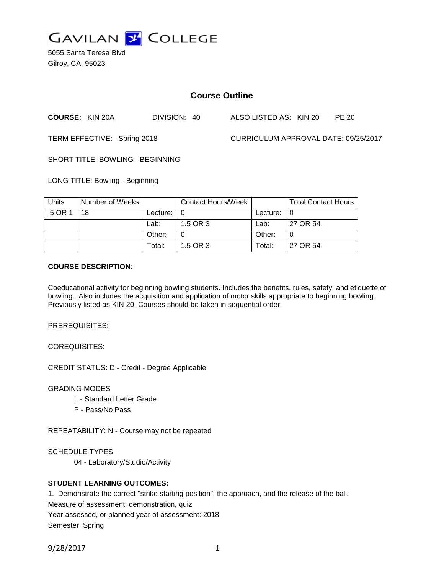

5055 Santa Teresa Blvd Gilroy, CA 95023

# **Course Outline**

**COURSE:** KIN 20A DIVISION: 40 ALSO LISTED AS: KIN 20 PE 20

TERM EFFECTIVE: Spring 2018 CURRICULUM APPROVAL DATE: 09/25/2017

SHORT TITLE: BOWLING - BEGINNING

LONG TITLE: Bowling - Beginning

| <b>Units</b> | Number of Weeks |                            | Contact Hours/Week |               | <b>Total Contact Hours</b> |
|--------------|-----------------|----------------------------|--------------------|---------------|----------------------------|
| .5 OR 1      | 18              | Lecture: $\vert 0 \rangle$ |                    | Lecture: $ 0$ |                            |
|              |                 | Lab:                       | 1.5 OR 3           | Lab:          | 27 OR 54                   |
|              |                 | Other:                     |                    | Other:        |                            |
|              |                 | Total:                     | 1.5 OR 3           | Total:        | 27 OR 54                   |

#### **COURSE DESCRIPTION:**

Coeducational activity for beginning bowling students. Includes the benefits, rules, safety, and etiquette of bowling. Also includes the acquisition and application of motor skills appropriate to beginning bowling. Previously listed as KIN 20. Courses should be taken in sequential order.

PREREQUISITES:

COREQUISITES:

CREDIT STATUS: D - Credit - Degree Applicable

GRADING MODES

- L Standard Letter Grade
- P Pass/No Pass

REPEATABILITY: N - Course may not be repeated

SCHEDULE TYPES:

04 - Laboratory/Studio/Activity

## **STUDENT LEARNING OUTCOMES:**

1. Demonstrate the correct "strike starting position", the approach, and the release of the ball.

Measure of assessment: demonstration, quiz

Year assessed, or planned year of assessment: 2018

Semester: Spring

9/28/2017 1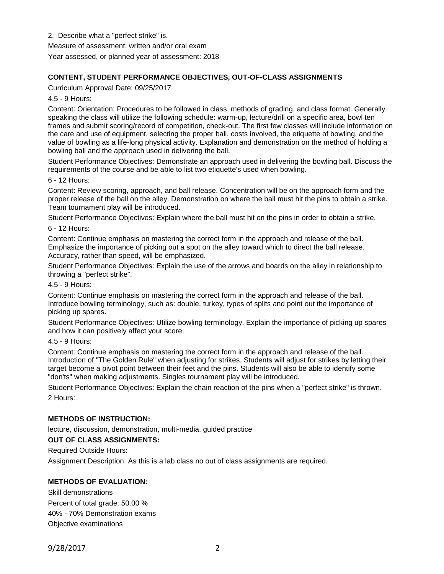2. Describe what a "perfect strike" is.

Measure of assessment: written and/or oral exam

Year assessed, or planned year of assessment: 2018

## **CONTENT, STUDENT PERFORMANCE OBJECTIVES, OUT-OF-CLASS ASSIGNMENTS**

Curriculum Approval Date: 09/25/2017

4.5 - 9 Hours:

Content: Orientation: Procedures to be followed in class, methods of grading, and class format. Generally speaking the class will utilize the following schedule: warm-up, lecture/drill on a specific area, bowl ten frames and submit scoring/record of competition, check-out. The first few classes will include information on the care and use of equipment, selecting the proper ball, costs involved, the etiquette of bowling, and the value of bowling as a life-long physical activity. Explanation and demonstration on the method of holding a bowling ball and the approach used in delivering the ball.

Student Performance Objectives: Demonstrate an approach used in delivering the bowling ball. Discuss the requirements of the course and be able to list two etiquette's used when bowling.

#### 6 - 12 Hours:

Content: Review scoring, approach, and ball release. Concentration will be on the approach form and the proper release of the ball on the alley. Demonstration on where the ball must hit the pins to obtain a strike. Team tournament play will be introduced.

Student Performance Objectives: Explain where the ball must hit on the pins in order to obtain a strike.

6 - 12 Hours:

Content: Continue emphasis on mastering the correct form in the approach and release of the ball. Emphasize the importance of picking out a spot on the alley toward which to direct the ball release. Accuracy, rather than speed, will be emphasized.

Student Performance Objectives: Explain the use of the arrows and boards on the alley in relationship to throwing a "perfect strike".

4.5 - 9 Hours:

Content: Continue emphasis on mastering the correct form in the approach and release of the ball. Introduce bowling terminology, such as: double, turkey, types of splits and point out the importance of picking up spares.

Student Performance Objectives: Utilize bowling terminology. Explain the importance of picking up spares and how it can positively affect your score.

4.5 - 9 Hours:

Content: Continue emphasis on mastering the correct form in the approach and release of the ball. Introduction of "The Golden Rule" when adjusting for strikes. Students will adjust for strikes by letting their target become a pivot point between their feet and the pins. Students will also be able to identify some "don'ts" when making adjustments. Singles tournament play will be introduced.

Student Performance Objectives: Explain the chain reaction of the pins when a "perfect strike" is thrown. 2 Hours:

## **METHODS OF INSTRUCTION:**

lecture, discussion, demonstration, multi-media, guided practice

**OUT OF CLASS ASSIGNMENTS:**

Required Outside Hours:

Assignment Description: As this is a lab class no out of class assignments are required.

## **METHODS OF EVALUATION:**

Skill demonstrations Percent of total grade: 50.00 % 40% - 70% Demonstration exams Objective examinations